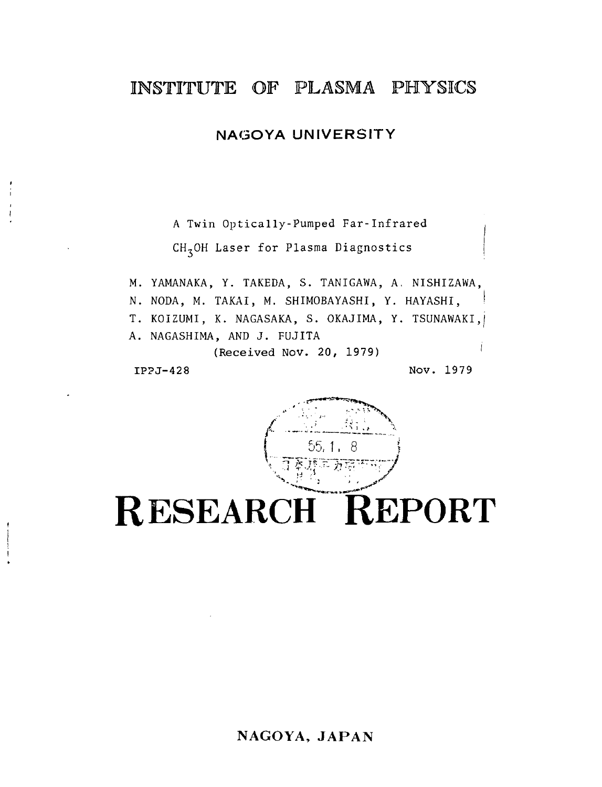## INSTITUTE OF PLASMA PHTSICS

### NAGOYA UNIVERSITY

A Twin Optically-Pumped Far-Infrared CH,OH Laser for Plasma Diagnostics

M. YAMANAKA, Y. TAKEDA, S. TANIGAWA, A, NISHIZAWA, N. NODA, M. TAKAI, M. SHIMOBAYASHI, Y. HAYASHI, T. KOIZUMI, K. NAGASAKA, S. OKAJIMA, Y. TSUNAWAKI.j A. NAGASHIMA, AND J. FUJITA (Received Nov. 20, 1979) IPPJ-428 Nov. 1979



# RESEARCH REPORT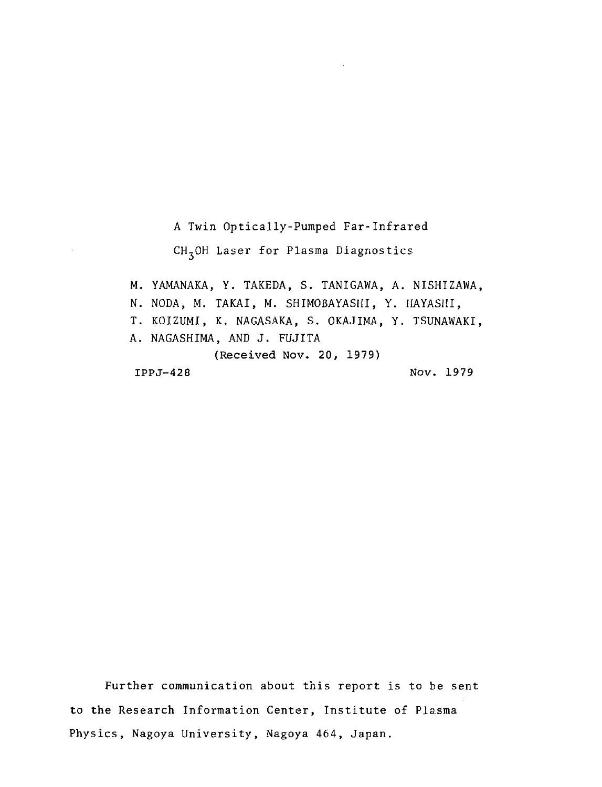A Twin Optically-Pumped Far-Infrared CH,OH Laser for Plasma Diagnostics M. YAMANAKA, Y. TAKEDA, S. TANIGAWA, A. NISHIZAWA, N. NODA, M. TAKAI, M. SHIMOBAYASHI, Y. HAYASHI, T. KOIZUMI, K. NAGASAKA, S. OKAJIMA, Y. TSUNAWAKI, A. NAGASHIMA, AND J. FUJITA (Received Nov. 20, 1979) IPPJ-428 Nov. 1979

Further communication about this report is to be sent to the Research Information Center, Institute of Plasma Physics, Nagoya University, Nagoya 464, Japan.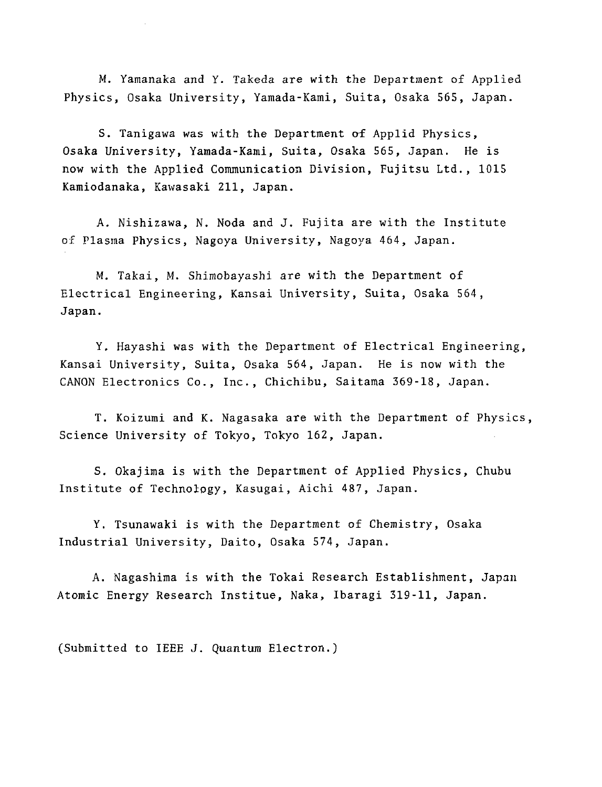M. Yamanaka and Y. Takeda are with the Department of Applied Physics, Osaka University, Yamada-Kami, Suita, Osaka 565, Japan.

S. Tanigawa was with the Department of Applid Physics, Osaka University, Yamada-Kami, Suita, Osaka 565, Japan. He is now with the Applied Communication Division, Fujitsu Ltd., 1015 Kamiodanaka, Kawasaki 211, Japan.

A. Nishizawa, N. Noda and J. Fujita are with the Institute of Plasma Physics, Nagoya University, Nagoya 464, Japan.

M. Takai, M. Shimobayashi are with the Department of Electrical Engineering, Kansai University, Suita, Osaka 564, Japan.

Y. Hayashi was with the Department of Electrical Engineering, Kansai University, Suita, Osaka 564, Japan. He is now with the CANON Electronics Co., Inc., Chichibu, Saitama 369-18, Japan.

T. Koizumi and K. Nagasaka are with the Department of Physics, Science University of Tokyo, Tokyo 162, Japan.

S. Okajima is with the Department of Applied Physics, Chubu Institute of Technology, Kasugai, Aichi 487, Japan.

Y. Tsunawaki is with the Department of Chemistry, Osaka Industrial University, Daito, Osaka 574, Japan.

A. Nagashima is with the Tokai Research Establishment, Japan Atomic Energy Research Institue, Naka, Ibaragi 319-11, Japan.

(Submitted to IEEE J. Quantum Electron.)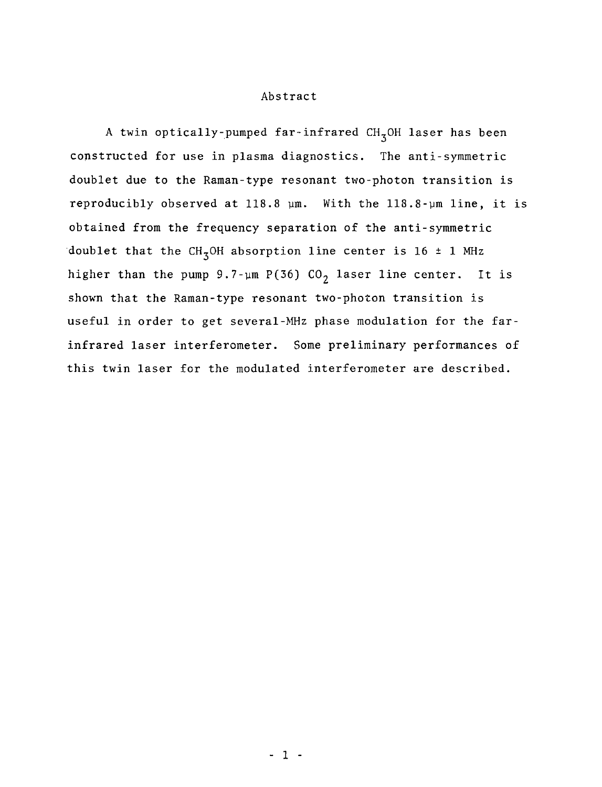#### Abstract

A twin optically-pumped far-infrared CH<sub>3</sub>OH laser has been constructed for use in plasma diagnostics. The anti-symmetric doublet due to the Raman-type resonant two-photon transition is reproducibly observed at 118.8 ym. With the 118.8-ym line, it is obtained from the frequency separation of the anti-symmetric doublet that the CH<sub>3</sub>OH absorption line center is 16  $\pm$  1 MHz higher than the pump 9.7-um P(36) CO<sub>2</sub> laser line center. It is shown that the Raman-type resonant two-photon transition is useful in order to get several-MHz phase modulation for the farinfrared laser interferometer. Some preliminary performances of this twin laser for the modulated interferometer are described.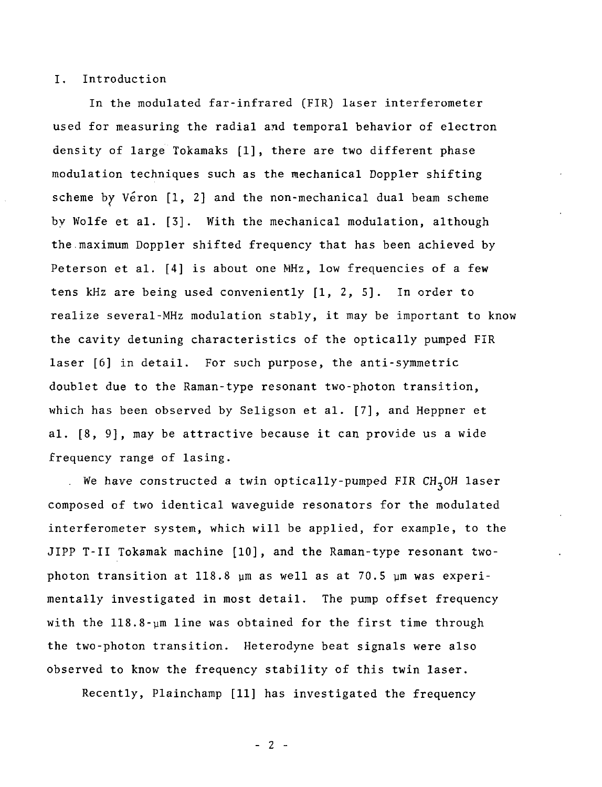#### I. Introduction

In the modulated far-infrared (FIR) laser interferometer used for measuring the radial and temporal behavior of electron density of large Tokamaks [1], there are two different phase modulation techniques such as the mechanical Doppler shifting scheme by Véron [1, 2] and the non-mechanical dual beam scheme by Wolfe et al. [3]. With the mechanical modulation, although the.maximum Doppler shifted frequency that has been achieved by Peterson et al. [4] is about one MHz, low frequencies of a few tens kHz are being used conveniently [1, 2, 5]. In order to realize several-MHz modulation stably, it may be important to know the cavity detuning characteristics of the optically pumped FIR laser [6] in detail. For such purpose, the anti-symmetric doublet due to the Raman-type resonant two-photon transition, which has been observed by Seligson et al. [7], and Heppner et al. [8, 9], may be attractive because it can provide us a wide frequency range of lasing.

We have constructed a twin optically-pumped FIR  $CH<sub>z</sub>OH$  laser composed of two identical waveguide resonators for the modulated interferometer system, which will be applied, for example, to the JIPP T-II Tokamak machine [10], and the Raman-type resonant twophoton transition at 118.8  $\mu$ m as well as at 70.5  $\mu$ m was experimentally investigated in most detail. The pump offset frequency with the 118.8-ym line was obtained for the first time through the two-photon transition. Heterodyne beat signals were also observed to know the frequency stability of this twin laser.

Recently, Plainchamp [11] has investigated the frequency

- 2 -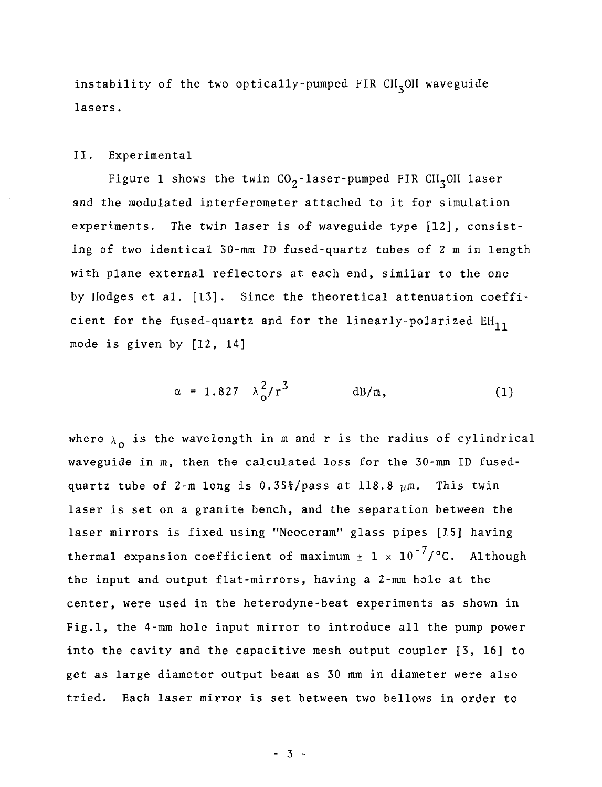instability of the two optically-pumped FIR  $CH<sub>7</sub>OH$  waveguide lasers.

#### II. Experimental

Figure 1 shows the twin  $CO_2$ -laser-pumped FIR CH<sub>3</sub>OH laser and the modulated interferometer attached to it for simulation experiments. The twin laser is of waveguide type [12], consisting of two identical 30-mm ID fused-quartz tubes of 2 m in length with plane external reflectors at each end, similar to the one by Hodges et al. [13]. Since the theoretical attenuation coefficient for the fused-quartz and for the linearly-polarized EH<sub>11</sub> mode is given by [12, 14]

$$
\alpha = 1.827 \lambda_0^2 / r^3 \qquad \text{dB/m}, \qquad (1)
$$

where  $\lambda_0$  is the wavelength in m and r is the radius of cylindrical waveguide in m, then the calculated loss for the 30-mm ID fusedquartz tube of 2-m long is 0.35%/pass at 118.8  $µm$ . This twin laser is set on a granite bench, and the separation between the laser mirrors is fixed using "Neoceram" glass pipes [15] having thermal expansion coefficient of maximum  $\pm$  1 x 10<sup>-7</sup>/°C. Although the input and output flat-mirrors, having a 2-mm hole at the center, were used in the heterodyne-beat experiments as shown in Fig.l, the 4-mm hole input mirror to introduce all the pump power into the cavity and the capacitive mesh output coupler [3, 16] to get as large diameter output beam as 30 mm in diameter were also tried. Each laser mirror is set between two bellows in order to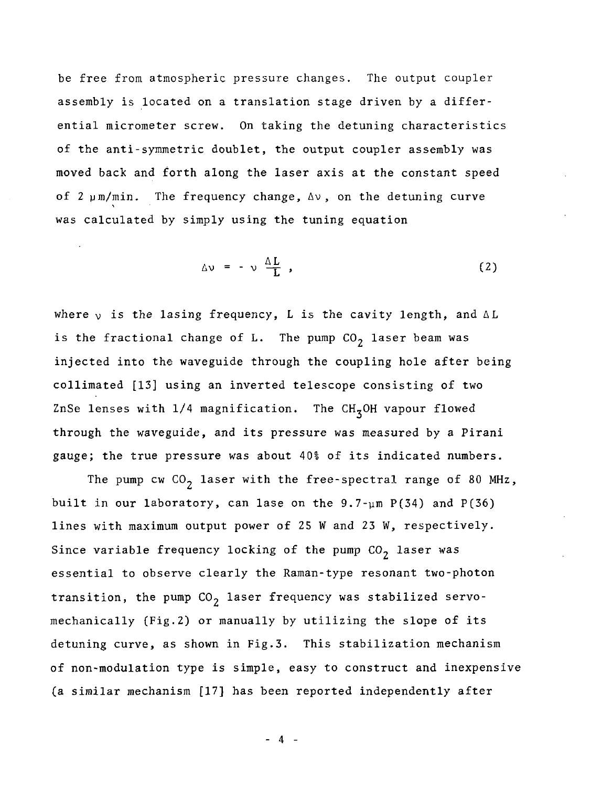be free from atmospheric pressure changes. The output coupler assembly is located on a translation stage driven by a differential micrometer screw. On taking the detuning characteristics of the anti-symmetric doublet, the output coupler assembly was moved back and forth along the laser axis at the constant speed of  $2 \mu m/min$ . The frequency change,  $\Delta v$ , on the detuning curve was calculated by simply using the tuning equation

$$
\Delta v = -v \frac{\Delta L}{L} \tag{2}
$$

where  $\nu$  is the lasing frequency, L is the cavity length, and AL is the fractional change of L. The pump  $CO<sub>2</sub>$  laser beam was injected into the waveguide through the coupling hole after being collimated [13] using an inverted telescope consisting of two ZnSe lenses with  $1/4$  magnification. The CH<sub>z</sub>OH vapour flowed through the waveguide, and its pressure was measured by a Pirani gauge; the true pressure was about 40% of its indicated numbers.

The pump cw  $CO<sub>2</sub>$  laser with the free-spectral range of 80 MHz, built in our laboratory, can lase on the  $9.7$ -um P(34) and P(36) lines with maximum output power of 25 W and 23 W, respectively. Since variable frequency locking of the pump  $CO<sub>2</sub>$  laser was essential to observe clearly the Raman-type resonant two-photon transition, the pump  $CO<sub>2</sub>$  laser frequency was stabilized servomechanically (Fig.2) or manually by utilizing the slope of its detuning curve, as shown in Fig.3. This stabilization mechanism of non-modulation type is simple, easy to construct and inexpensive (a similar mechanism [17] has been reported independently after

 $- 4 -$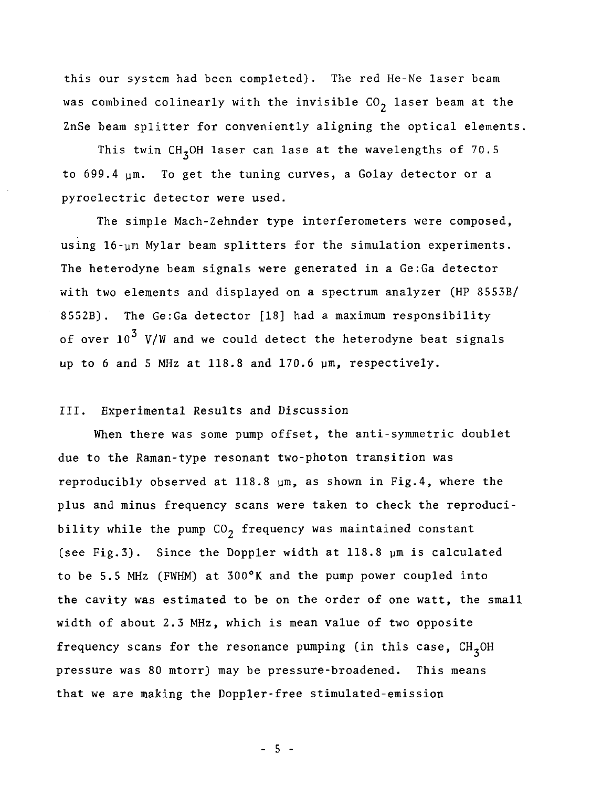this our system had been completed). The red He-Ne laser beam was combined colinearly with the invisible  $CO<sub>2</sub>$  laser beam at the ZnSe beam splitter for conveniently aligning the optical elements,

This twin CH<sub>z</sub>OH laser can lase at the wavelengths of 70.5 to  $699.4 \text{ µm}$ . To get the tuning curves, a Golay detector or a pyroelectric detector were used.

The simple Mach-Zehnder type interferometers were composed, using 16-un Mylar beam splitters for the simulation experiments. The heterodyne beam signals were generated in a Ge:Ga detector with two elements and displayed on a spectrum analyzer (HP 85S3B/ 8552B). The Ge:Ga detector [18] had a maximum responsibility of over  $10^3$  V/W and we could detect the heterodyne beat signals up to 6 and 5 MHz at 118.8 and 170.6 ym, respectively.

#### III. Experimental Results and Discussion

When there was some pump offset, the anti-symmetric doublet due to the Raman-type resonant two-photon transition was reproducibly observed at 118.8  $\mu$ m, as shown in Fig.4, where the plus and minus frequency scans were taken to check the reproducibility while the pump  $CO<sub>2</sub>$  frequency was maintained constant (see Fig.3). Since the Doppler width at 118.8 ym is calculated to be 5.5 MHz (FWHM) at 300°K and the pump power coupled into the cavity was estimated to be on the order of one watt, the small width of about 2.3 MHz, which is mean value of two opposite frequency scans for the resonance pumping (in this case,  $CH<sub>z</sub>OH$ pressure was 80 mtorr) may be pressure-broadened. This means that we are making the Doppler-free stimulated-emission

- 5 -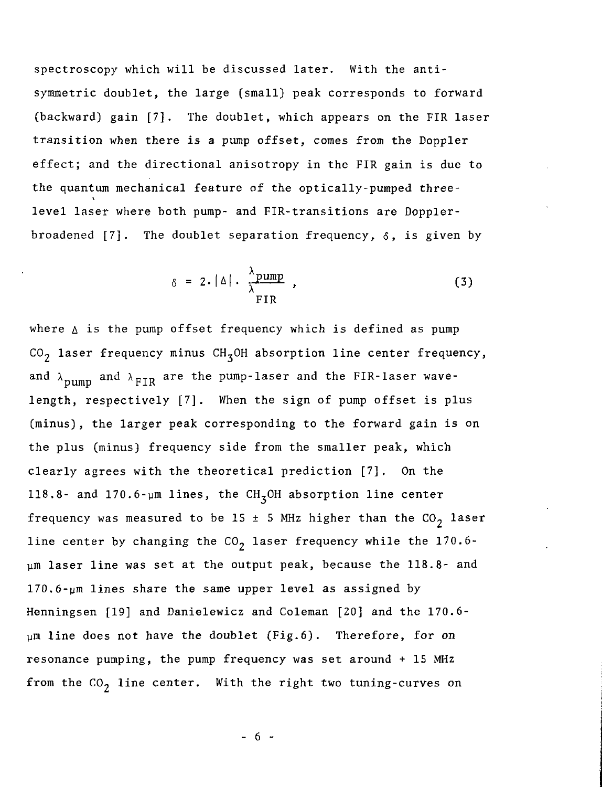spectroscopy which will be discussed later. With the antisymmetric doublet, the large (small) peak corresponds to forward (backward) gain [7]. The doublet, which appears on the FIR laser transition when there is a pump offset, comes from the Doppler effect; and the directional anisotropy in the FIR gain is due to the quantum mechanical feature of the optically-pumped threelevel laser where both pump- and FIR-transitions are Dopplerbroadened  $[7]$ . The doublet separation frequency,  $\delta$ , is given by

$$
\delta = 2.|\Delta| \cdot \frac{\lambda_{\text{pump}}}{\lambda_{\text{FIR}}} \tag{3}
$$

where  $\triangle$  is the pump offset frequency which is defined as pump CO<sub>2</sub> laser frequency minus CH<sub>3</sub>OH absorption line center frequency, and  $\lambda_{\text{num}}$  and  $\lambda_{\text{FIR}}$  are the pump-laser and the FIR-laser wavelength, respectively [7], When the sign of pump offset is plus (minus), the larger peak corresponding to the forward gain is on the plus (minus) frequency side from the smaller peak, which clearly agrees with the theoretical prediction [7]. On the 118.8- and 170.6-um lines, the  $CH<sub>z</sub>OH$  absorption line center frequency was measured to be 15  $\pm$  5 MHz higher than the CO<sub>2</sub> laser line center by changing the  $CO<sub>2</sub>$  laser frequency while the 170.6ym laser line was set at the output peak, because the 118.8- and 170.6-ym lines share the same upper level as assigned by Henningsen [19] and Danielewicz and Coleman [20] and the 170.6  $µm$  line does not have the doublet (Fig.6). Therefore, for on resonance pumping, the pump frequency was set around + IS MHz from the  $CO<sub>2</sub>$  line center. With the right two tuning-curves on

 $- 6 -$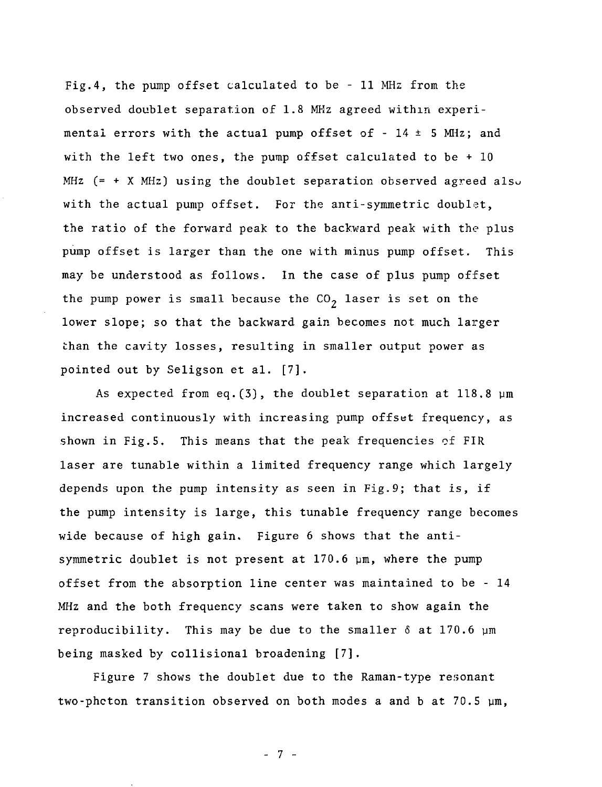Fig.4, the pump offset calculated to be - 11 MHz from the observed doublet separation of 1.8 MKz agreed within experimental errors with the actual pump offset of -  $14 \pm 5$  MHz; and with the left two ones, the pump offset calculated to be + 10  $MHz$  (=  $+$  X MHz) using the doublet separation observed agreed also with the actual pump offset. For the anti-symmetric doublet, the ratio of the forward peak to the backward peak with the plus pump offset is larger than the one with minus pump offset. This may be understood as follows. In the case of plus pump offset the pump power is small because the  $CO<sub>2</sub>$  laser is set on the lower slope; so that the backward gain becomes not much larger than the cavity losses, resulting in smaller output power as pointed out by Seligson et al. [7].

As expected from eq.  $(3)$ , the doublet separation at 118.8  $\mu$ m increased continuously with increasing pump offset frequency, as shown in Fig.5. This means that the peak frequencies of FIR laser are tunable within a limited frequency range which largely depends upon the pump intensity as seen in Fig.9; that is, if the pump intensity is large, this tunable frequency range becomes wide because of high gain. Figure 6 shows that the antisymmetric doublet is not present at 170.6 pm, where the pump offset from the absorption line center was maintained to be - 14 MHz and the both frequency scans were taken to show again the reproducibility. This may be due to the smaller  $\delta$  at 170.6  $\mu$ m being masked by collisional broadening [7].

Figure 7 shows the doublet due to the Raman-type resonant two-phcton transition observed on both modes a and b at  $70.5 \mu m$ ,

- 7 -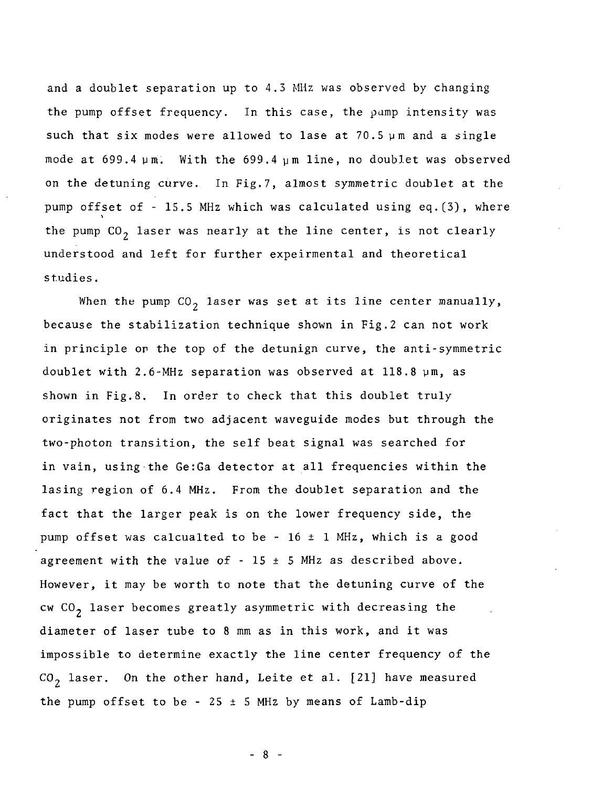and a doublet separation up to 4.3 MHz was observed by changing the pump offset frequency. In this case, the pump intensity was such that six modes were allowed to lase at  $70.5 \mu$ m and a single mode at 699.4 ym. With the 699.4 ym line, no doublet was observed on the detuning curve. In Fig.7, almost symmetric doublet at the pump offset of - 15.5 MHz which was calculated using eq.(3), where the pump  $CO<sub>2</sub>$  laser was nearly at the line center, is not clearly understood and left for further expeirmental and theoretical studies.

When the pump  $CO<sub>2</sub>$  laser was set at its line center manually, because the stabilization technique shown in Fig.2 can not work in principle or the top of the detunign curve, the anti-symmetric doublet with 2.6-MHz separation was observed at 118.8 ym, as shown in Fig.8. In order to check that this doublet truly originates not from two adjacent waveguide modes but through the two-photon transition, the self beat signal was searched for in vain, using the Ge:Ga detector at all frequencies within the lasing region of 6.4 MHz. From the doublet separation and the fact that the larger peak is on the lower frequency side, the pump offset was calcualted to be -  $16 \pm 1$  MHz, which is a good agreement with the value of  $-15 \pm 5$  MHz as described above. However, it may be worth to note that the detuning curve of the cw  $CO<sub>2</sub>$  laser becomes greatly asymmetric with decreasing the diameter of laser tube to 8 mm as in this work, and it was impossible to determine exactly the line center frequency of the  $CO<sub>2</sub>$  laser. On the other hand, Leite et al. [21] have measured the pump offset to be - 25  $\pm$  5 MHz by means of Lamb-dip

 $-8-$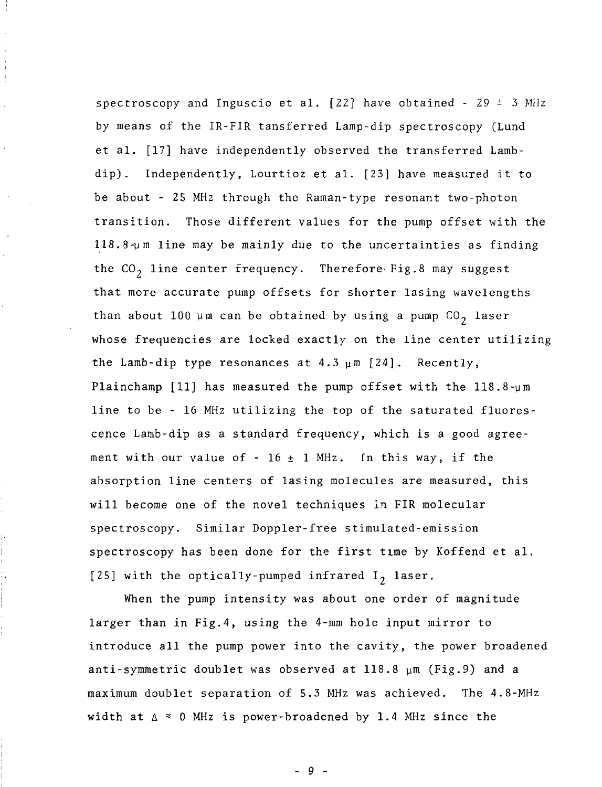spectroscopy and Inguscio et al.  $[22]$  have obtained - 29  $\pm$  3 MHz by means of the IR-FIR tansferred Lamp-dip spectroscopy (Lund et al. [17] have independently observed the transferred Lambdip). Independently, Lourtioz et al. [23] have measured it to be about - 25 MHz through the Raman-type resonant two-photon transition. Those different values for the pump offset with the  $118.8 \mu m$  line may be mainly due to the uncertainties as finding the  $CO<sub>2</sub>$  line center frequency. Therefore-Fig.8 may suggest that more accurate pump offsets for shorter lasing wavelengths than about 100  $\mu$ m can be obtained by using a pump CO<sub>2</sub> laser whose frequencies are locked exactly on the line center utilizing the Lamb-dip type resonances at 4.3  $\mu$ m [24]. Recently, Plainchamp [11] has measured the pump offset with the  $118.8 \text{--} \mu \text{m}$ line to be - 16 MHz utilizing the top of the saturated fluorescence Lamb-dip as a standard frequency, which is a good agreement with our value of - 16  $\pm$  1 MHz. In this way, if the absorption line centers of lasing molecules are measured, this will become one of the novel techniques in FIR molecular spectroscopy. Similar Doppler-free stimulated-emission spectroscopy has been done for the first time by Koffend et al. [25] with the optically-pumped infrared  $I_2$  laser.

 $\bar{1}$  $\frac{1}{2}$ 

> When the pump intensity was about one order of magnitude larger than in Fig. 4, using the  $4$ -mm hole input mirror to introduce all the pump power into the cavity, the power broadened anti-symmetric doublet was observed at  $118.8 \mu m$  (Fig.9) and a maximum doublet separation of 5.3 MHz was achieved. The 4.8-MHz width at  $\Delta \approx 0$  MHz is power-broadened by 1.4 MHz since the

> > - 9 -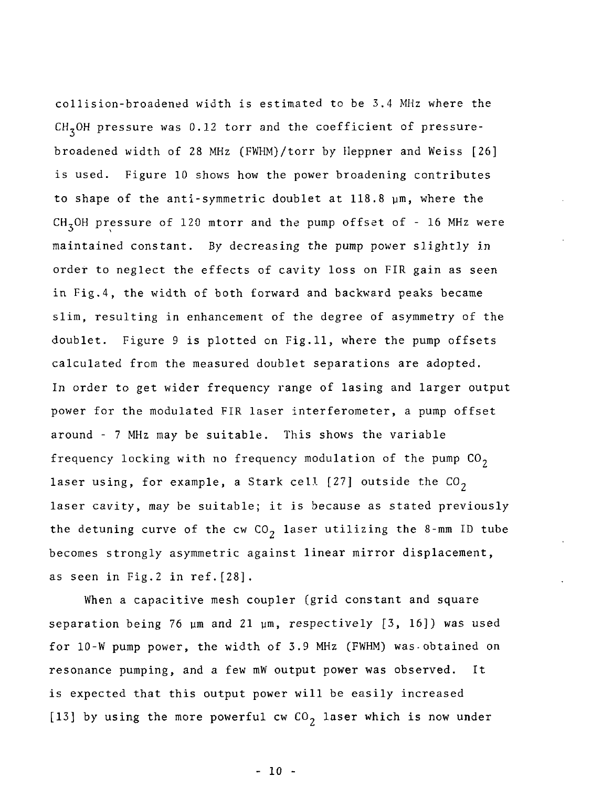collision-broadened width is estimated to be 3.4 MHz where the  $CH<sub>7</sub>OH$  pressure was 0.12 torr and the coefficient of pressurebroadened width of 28 MHz (FWHM)/torr by Heppner and Weiss [26] is used. Figure 10 shows how the power broadening contributes to shape of the anti-symmetric doublet at 118.8 um, where the CH,OH pressure of 120 mtorr and the pump offset of - 16 MHz were maintained constant. By decreasing the pump power slightly in order to neglect the effects of cavity loss on FIR gain as seen in Fig.4, the width of both forward and backward peaks became slim, resulting in enhancement of the degree of asymmetry of the doublet. Figure 9 is plotted on Fig.11, where the pump offsets calculated from the measured doublet separations are adopted. In order to get wider frequency range of lasing and larger output power for the modulated FIR laser interferometer, a pump offset around - 7 MHz may be suitable. This shows the variable frequency locking with no frequency modulation of the pump  $CO<sub>2</sub>$ laser using, for example, a Stark cell [27] outside the  $CO_2$ laser cavity, may be suitable; it is because as stated previously the detuning curve of the cw  $CO<sub>2</sub>$  laser utilizing the 8-mm ID tube becomes strongly asymmetric against linear mirror displacement, as seen in Fig.2 in ref.[28].

When a capacitive mesh coupler (grid constant and square separation being 76  $\mu$ m and 21  $\mu$ m, respectively [3, 16]) was used for 10-W pump power, the width of 3.9 MHz (FWHM) was obtained on resonance pumping, and a few mW output power was observed. It is expected that this output power will be easily increased [13] by using the more powerful cw  $CO<sub>2</sub>$  laser which is now under

- 10 -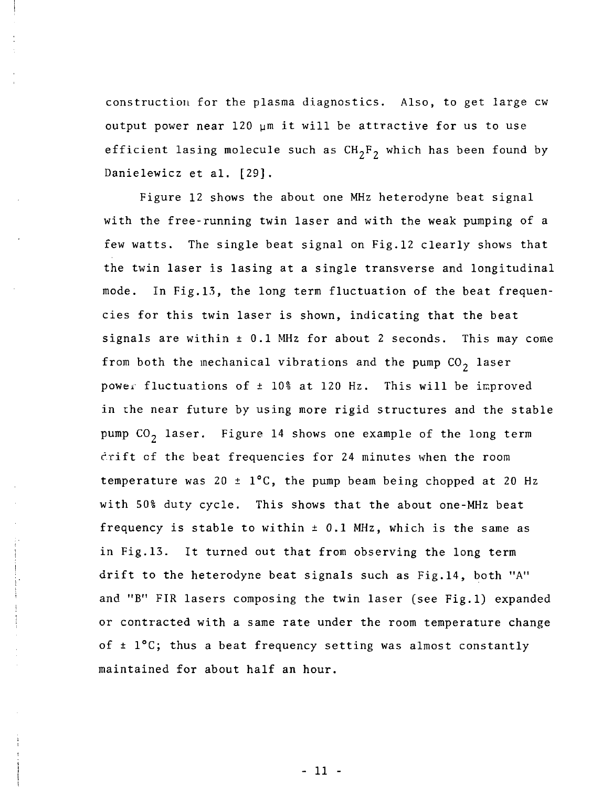construction for the plasma diagnostics. Also, to get large cw output power near 120 ym it will be attractive for us to use efficient lasing molecule such as  $CH_2F_2$  which has been found by Danielewicz et al. [29].

Figure 12 shows the about one MHz heterodyne beat signal with the free-running twin laser and with the weak pumping of a few watts. The single beat signal on Fig.12 clearly shows that the twin laser is lasing at a single transverse and longitudinal mode. In Fig.13, the long term fluctuation of the beat frequencies for this twin laser is shown, indicating that the beat signals are within  $\pm$  0.1 MHz for about 2 seconds. This may come from both the mechanical vibrations and the pump  $CO<sub>2</sub>$  laser power fluctuations of  $\pm$  10% at 120 Hz. This will be improved in the near future by using more rigid structures and the stable pump  $CO<sub>2</sub>$  laser. Figure 14 shows one example of the long term drift cf the beat frequencies for 24 minutes when the room temperature was 20  $\pm$  1°C, the pump beam being chopped at 20 Hz with 50% duty cycle. This shows that the about one-MHz beat frequency is stable to within  $\pm$  0.1 MHz, which is the same as in Fig.13. It turned out that from observing the long term drift to the heterodyne beat signals such as Fig.14, both "A" and "B" FIR lasers composing the twin laser (see Fig.l) expanded or contracted with a same rate under the room temperature change of  $\pm$  1°C; thus a beat frequency setting was almost constantly maintained for about half an hour.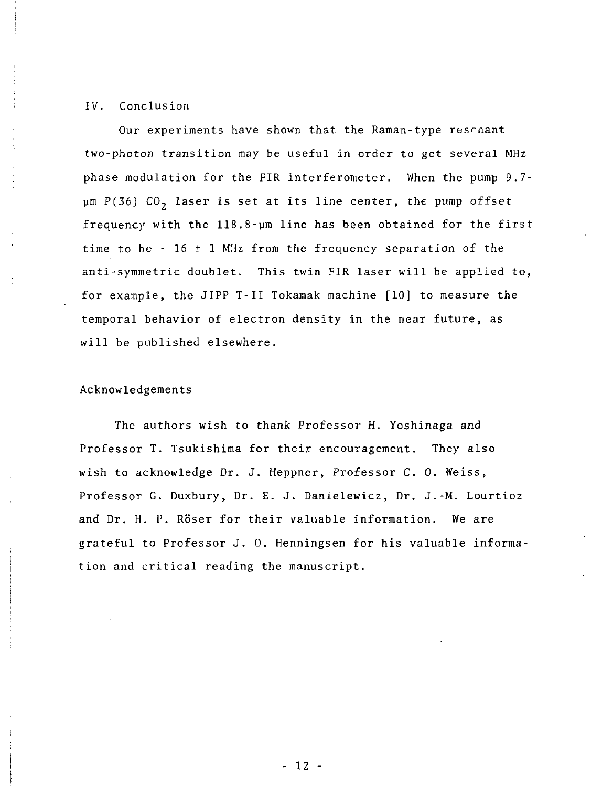#### IV. Conclusion

Our experiments have shown that the Raman-type resrnant two-photon transition may be useful in order to get several MHz phase modulation for the FIR interferometer. When the pump 9.7-  $\mu$ m P(36) CO<sub>2</sub> laser is set at its line center, the pump offset frequency with the 118.8-µm line has been obtained for the first time to be  $-16 \pm 1$  MHz from the frequency separation of the anti-symmetric doublet. This twin FIR laser will be applied to, for example, the JIPP T-II Tokamak machine [10] to measure the temporal behavior of electron density in the near future, as will be published elsewhere.

#### Acknowledgements

The authors wish to thank Professor H. Yoshinaga and Professor T. Tsukishima for their encouragement. They also wish to acknowledge Dr. J. Heppner, Professor C. 0. Weiss, Professor G. Duxbury, Dr. E. J. Danielewicz, Dr. J.-M. Lourtioz and Dr. H. P. Röser for their valuable information. We are grateful to Professor J. 0. Henningsen for his valuable information and critical reading the manuscript.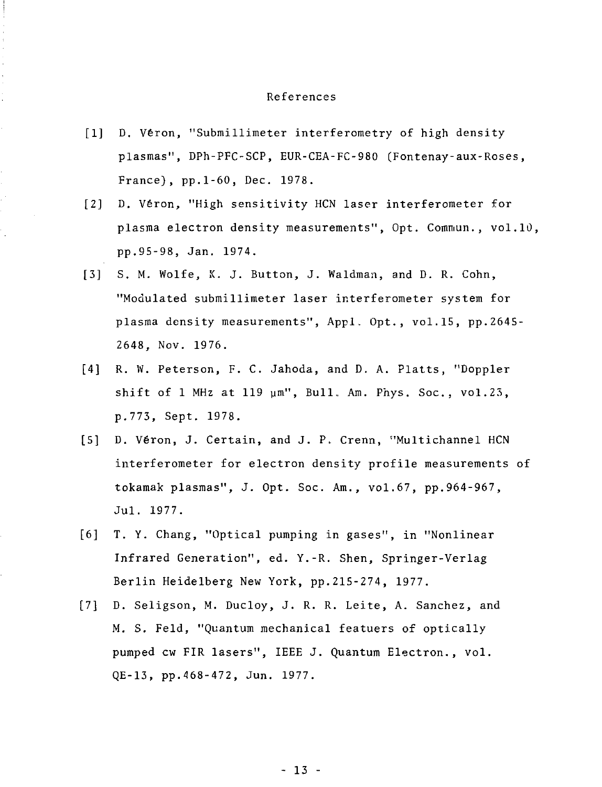#### References

- [1] D. Véron, "Submillimeter interferometry of high density plasmas", DPh-PFC-SCP, EUR-CEA-FC-980 (Fontenay-aux-Roses, France), pp.1-60, Dec. 1978.
- [2] D. Veron, "High sensitivity HCN laser interferometer for plasma electron density measurements", Opt. Comniun., vol.10, pp.95-98, Jan. 1974.
- [3] S. M. Wolfe, K. J. Button, J. Waldman, and D. R. Cohn, "Modulated submillimeter laser interferometer system for plasma density measurements", Appl, Opt., vol.15, pp.2645- 2648, Nov. 1976.
- [4] R. W. Peterson, F. C. Jahoda, and D. A. Platts, "Doppler shift of 1 MHz at 119  $\mu$ m", Bull. Am. Phys. Soc., vol.23, p.773, Sept. 1978.
- [5] D. Veron, J. Certain, and J. P. Crenn, "Multichannel HCN interferometer for electron density profile measurements of tokamak plasmas", J. Opt. Soc. Am., vol.67, pp.964-967, Jul. 1977.
- [6] T. Y. Chang, "Optical pumping in gases", in "Nonlinear Infrared Generation", ed. Y.-R. Shen, Springer-Verlag Berlin Heidelberg New York, pp.215-274, 1977.
- [7] D. Seligson, M. Ducloy, J. R. R. Leite, A. Sanchez, and M. S. Feld, "Quantum mechanical featuers of optically pumped cw FIR lasers", IEEE J. Quantum Electron., vol. QE-13, pp.468-472, Jun. 1977.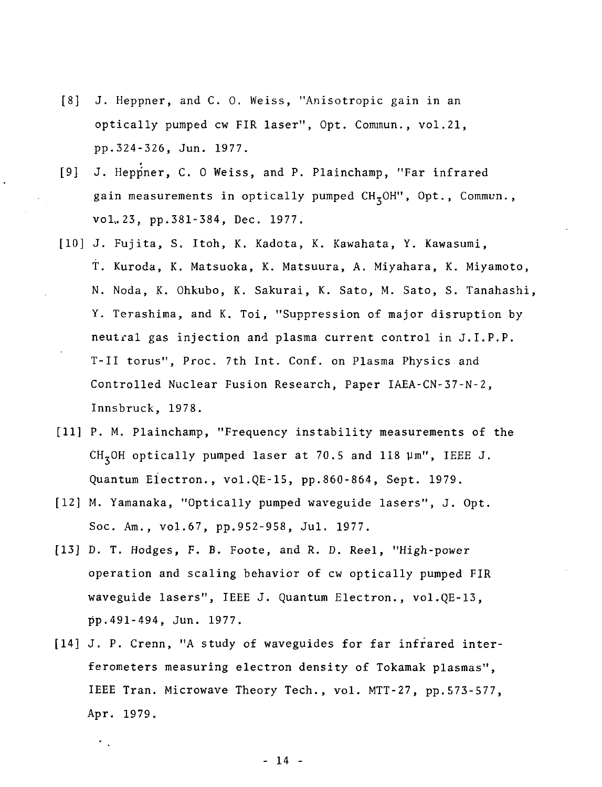- [8] J. Heppner, and C. 0. Weiss, "Anisotropic gain in an optically pumped cw FIR laser", Opt. Commun., vol.21, pp.324-326, Jun. 1977.
- [9] J. Heppner, C. O Weiss, and P. Plainchamp, "Far infrared gain measurements in optically pumped  $CH_5OH$ ", Opt., Commun., vol,. 23, pp.381-384, Dec. 1977.
- [10] J. Fujita, S. Itoh, K. Kadota, K. Kawahata, Y. Kawasumi, T. Kuroda, K. Matsuoka, K. Matsuura, A. Miyahara, K. Miyamoto, N. Noda, K. Ohkubo, K. Sakurai, K. Sato, M. Sato, S. Tanahashi, Y. Terashima, and K. Toi, "Suppression of major disruption by neutral gas injection and plasma current control in J.I.P.P. T-II torus", Proc. 7th Int. Conf. on Plasma Physics and Controlled Nuclear Fusion Research, Paper IAEA-CN-37-N-2, Innsbruck, 1978.
- [11] P. M. Plainchamp, "Frequency instability measurements of the CH,0H optically pumped laser at 70.5 and 118 Vm", IEEE J. Quantum Electron., vol.QE-15, pp.860-864, Sept. 1979.
- [12] M. Yamanaka, "Optically pumped waveguide lasers", J. Opt. Soc. Am., vol.67, pp.952-958, Jul. 1977.
- [13] D. T. Hodges, F. B. Foote, and R. D. Reel, "High-power operation and scaling behavior of cw optically pumped FIR waveguide lasers", IEEE J. Quantum Electron., vol.QE-13, pp.491-494, Jun. 1977.
- [14] J. P. Crenn, "A study of waveguides for far infrared interferometers measuring electron density of Tokamak plasmas", IEEE Tran. Microwave Theory Tech., vol. MTT-27, pp.573-577, Apr. 1979.

- 14 -

 $\ddot{\phantom{0}}$  .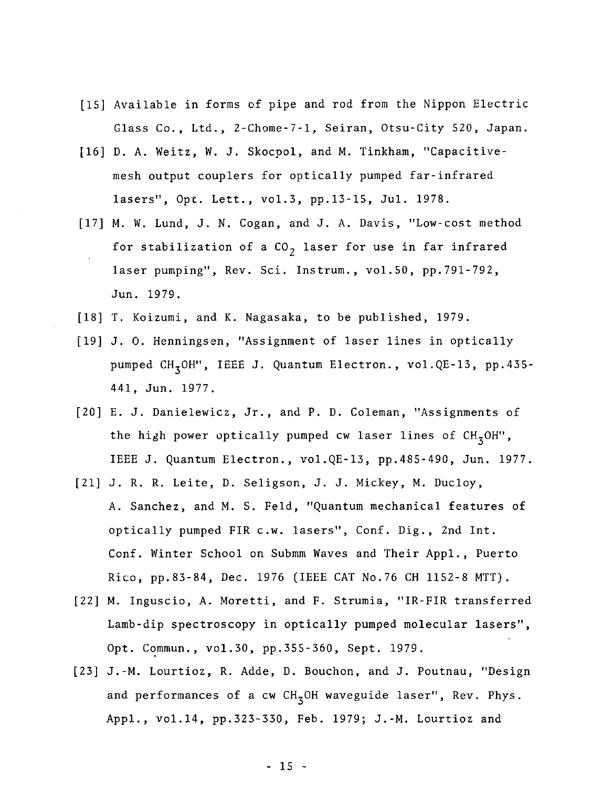- [IS] Available in forms of pipe and rod from the Nippon Electric Glass Co., Ltd., 2-Chome-7-1, Seiran, Otsu-City 520, Japan.
- [16] D. A. Weitz, W. J. Skocpol, and M. Tinkham, "Capacitivemesh output couplers for optically pumped far-infrared lasers", Opt. Lett., vol.3, pp.13-15, Jul. 1978.
- [17] M. W. Lund, J. N. Cogan, and J. A. Davis, "Low-cost method for stabilization of a  $CO<sub>2</sub>$  laser for use in far infrared laser pumping", Rev. Sci. Instrum., vol.50, pp.791-792, Jun. 1979.
- [18] T. Koizumi, and K. Nagasaka, to be published, 1979.
- [19] J. 0. Henningsen, "Assignment of laser lines in optically pumped CH<sub>3</sub>OH", IEEE J. Quantum Electron., vol.QE-13, pp.435-441, Jun. 1977.
- [20] E. J. Danielewicz, Jr., and P. D. Coleman, "Assignments of the high power optically pumped cw laser lines of  $CH<sub>z</sub>OH''$ , IEEE J. Quantum Electron., vol.QE-13, pp.485-490, Jun. 1977.
- [21] J. R. R. Leite, D. Seligson, J. J. Mickey, M. Ducloy, A. Sanchez, and M. S. Feld, "Quantum mechanical features of optically pumped FIR c.w. lasers", Conf. Dig., 2nd Int. Conf. Winter School on Submm Waves and Their Appl., Puerto Rico, pp.83-84, Dec. 1976 (IEEE CAT No.76 CH 1152-8 MTT) .
- [22] M. Inguscio, A. Moretti, and F. Strumia, "IR-FIR transferred Lamb-dip spectroscopy in optically pumped molecular lasers", Opt. Commun., vol.30, pp.355-360, Sept. 1979.
- [23] J.-M. Lourtioz, R. Adde, D. Bouchon, and J. Poutnau, "Design and performances of a cw  $CH<sub>z</sub>OH$  waveguide laser", Rev. Phys. Appl., vol.14, pp.323-330, Feb. 1979; J.-M. Lourtioz and

- 15 -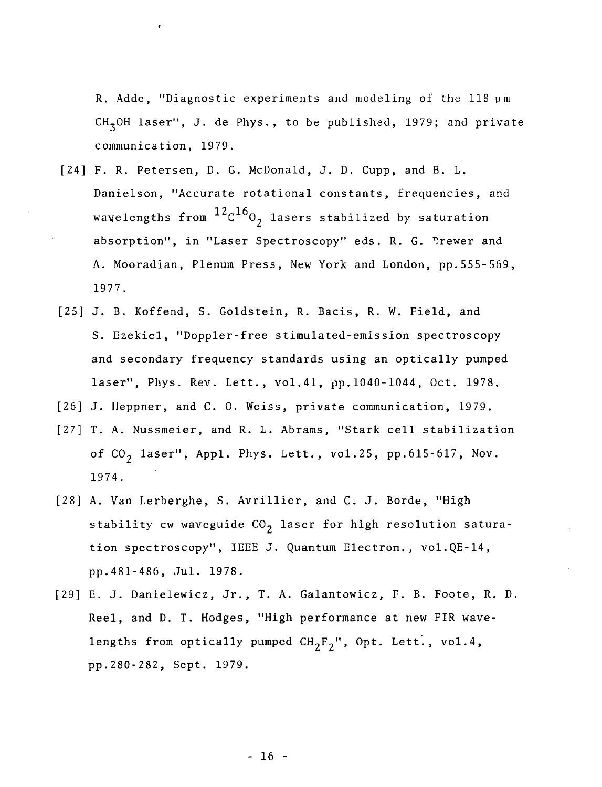R. Adde, "Diagnostic experiments and modeling of the 118 pm  $CH<sub>7</sub>OH$  laser", J. de Phys., to be published, 1979; and private communication, 1979.

- [24] F. R. Petersen, D. G. McDonald, J. D. Cupp, and B. L. Danielson, "Accurate rotational constants, frequencies, and wavelengths from  $12c^{16}$ , lasers stabilized by saturation absorption", in "Laser Spectroscopy" eds. R. G. Prewer and A. Mooradian, Plenum Press, New York and London, pp.555-569, 1977.
- [25] J. B. Koffend, S. Goldstein, R. Bacis, R. W. Field, and S. Ezekiel, "Doppler-free stimulated-emission spectroscopy and secondary frequency standards using an optically pumped laser", Phys. Rev. Lett., vol.41, pp.1040-1044, Oct. 1978.
- [26] J. Heppner, and C. 0. Weiss, private communication, 1979.
- [27] T. A. Nussmeier, and R. L. Abrams, "Stark cell stabilization of  $CO<sub>2</sub>$  laser", Appl. Phys. Lett., vol.25, pp.615-617, Nov. 1974.
- [28] A. Van Lerberghe, S. Avrillier, and C. J. Borde, "High stability cw waveguide  $CO<sub>2</sub>$  laser for high resolution saturation spectroscopy", IEEE J. Quantum Electron., vol.QE-14, pp.481-486, Jul. 1978.
- [29] E. J. Danielewicz, Jr., T. A. Galantowicz, F. B. Foote, R. D. Reel, and D. T. Hodges, "High performance at new FIR wavelengths from optically pumped  $CH_2F_2$ ", Opt. Lett., vol.4, pp.280-282, Sept. 1979.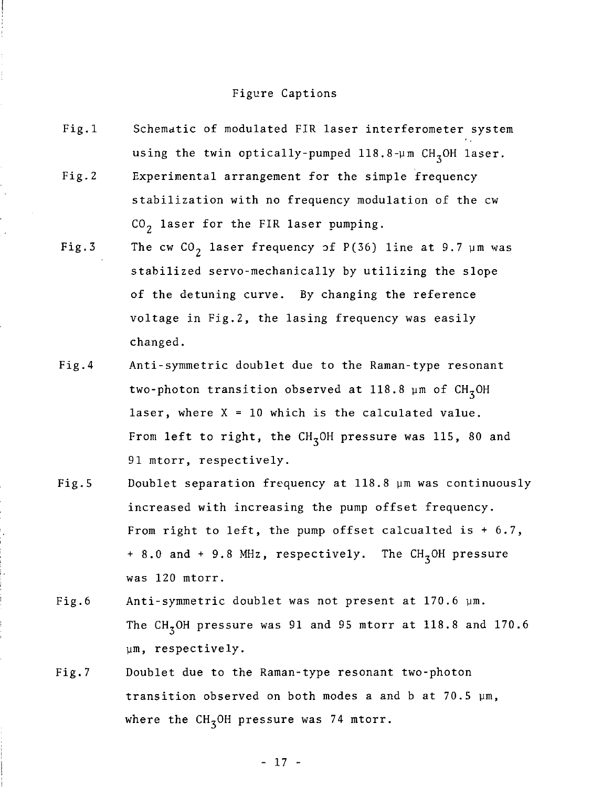#### Figure Captions

- Fig.l Schematic of modulated FIR laser interferometer system using the twin optically-pumped  $118.8 \text{--} \mu \text{m}$  CH<sub>3</sub>OH laser. Fig.2 Experimental arrangement for the simple frequency stabilization with no frequency modulation of the cw  $CO<sub>2</sub>$  laser for the FIR laser pumping.
- Fig.3 The cw  $CO<sub>2</sub>$  laser frequency of P(36) line at 9.7 um was stabilized servo-mechanically by utilizing the slope of the detuning curve. By changing the reference voltage in Fig.2, the lasing frequency was easily changed.
- Fig.4 Anti-symmetric doublet due to the Raman-type resonant two-photon transition observed at 118.8  $\mu$ m of CH<sub>z</sub>OH laser, where  $X = 10$  which is the calculated value. From left to right, the  $CH<sub>z</sub>OH$  pressure was 115, 80 and 91 mtorr, respectively.
- Fig.5 Doublet separation frequency at 118.8 ym was continuously increased with increasing the pump offset frequency. From right to left, the pump offset calcualted is + 6.7, + 8.0 and + 9.8 MHz, respectively. The  $CH<sub>z</sub>OH$  pressure was 120 mtorr.
- Fig.6 Anti-symmetric doublet was not present at 170.6 ym. The CH<sub>z</sub>OH pressure was 91 and 95 mtorr at 118.8 and 170.6 ym, respectively.
- Fig.7 Doublet due to the Raman-type resonant two-photon transition observed on both modes a and b at 70.5 ym, where the  $CH_3OH$  pressure was 74 mtorr.

- 17 -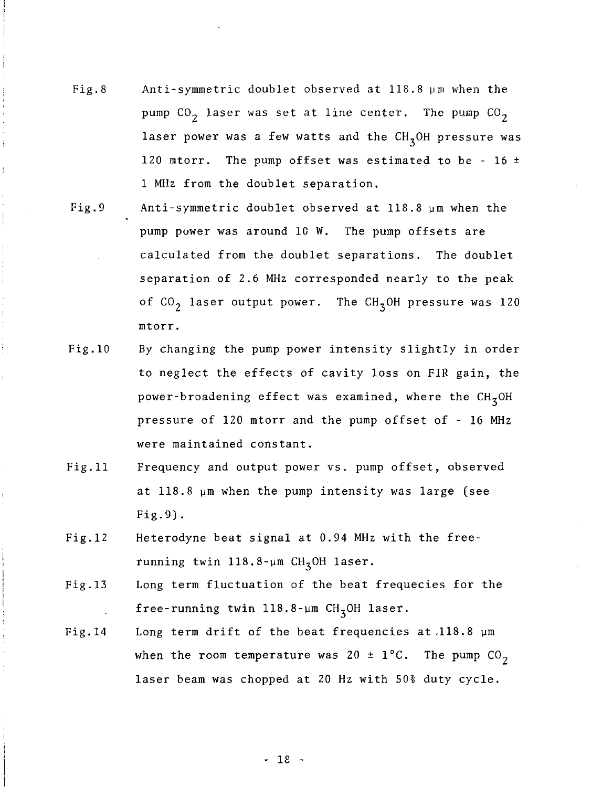- Fig.8 Anti-symmetric doublet observed at 118.8 ym when the pump  $CO<sub>2</sub>$  laser was set at line center. The pump  $CO<sub>2</sub>$ laser power was a few watts and the  $CH_2OH$  pressure was 120 mtorr. The pump offset was estimated to be - 16  $\pm$ 1 MHz from the doublet separation.
- Fig.9 Anti-symmetric doublet observed at 118.8 ym when the pump power was around 10 W. The pump offsets are calculated from the doublet separations. The doublet separation of 2.6 MHz corresponded nearly to the peak of  $CO<sub>2</sub>$  laser output power. The CH<sub>3</sub>OH pressure was 120 mtorr.
- Fig.10 By changing the pump power intensity slightly in order to neglect the effects of cavity loss on FIR gain, the power-broadening effect was examined, where the  $CH_7OH$ pressure of 120 mtorr and the pump offset of - 16 MHz were maintained constant.
- Fig.11 Frequency and output power vs. pump offset, observed at 118.8 ym when the pump intensity was large (see Fig.9).
- Fig.12 Heterodyne beat signal at 0.94 MHz with the freerunning twin  $118.8$ -um  $CH<sub>3</sub>OH$  laser.
- Fig. 13 Long term fluctuation of the beat frequecies for the free-running twin  $118.8$ -um CH<sub>3</sub>OH laser.
- Fig.14 Long term drift of the beat frequencies at.118.8 ym when the room temperature was 20  $\pm$  1°C. The pump CO<sub>2</sub> laser beam was chopped at 20 Hz with 50% duty cycle.

- 18 -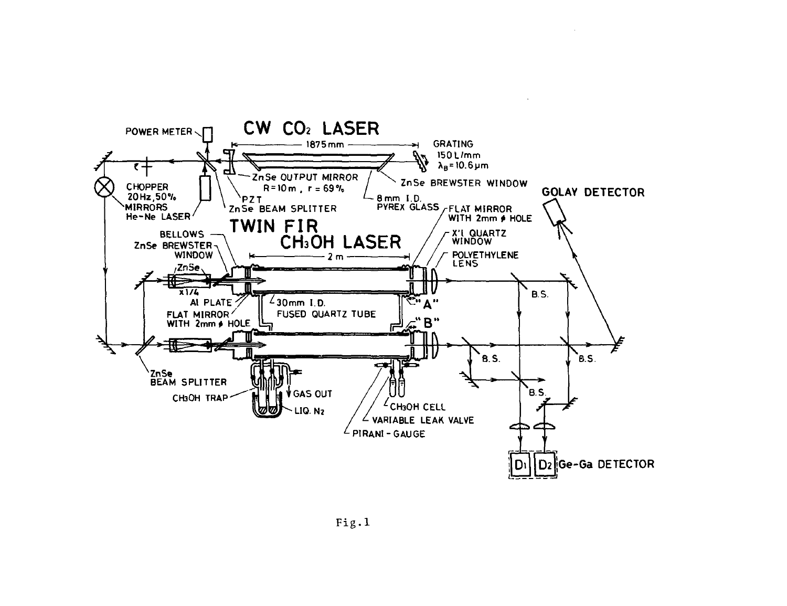

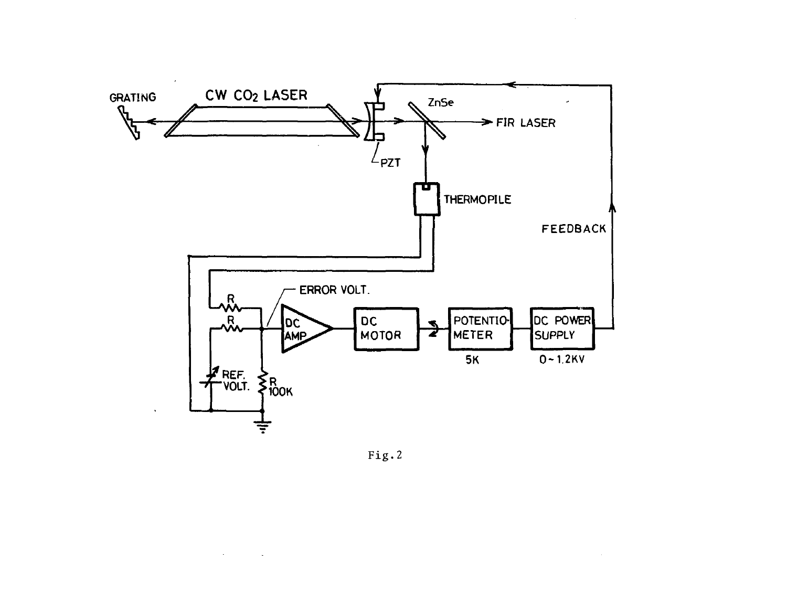

Fig.2

 $\sim$ 

 $\ddot{\phantom{a}}$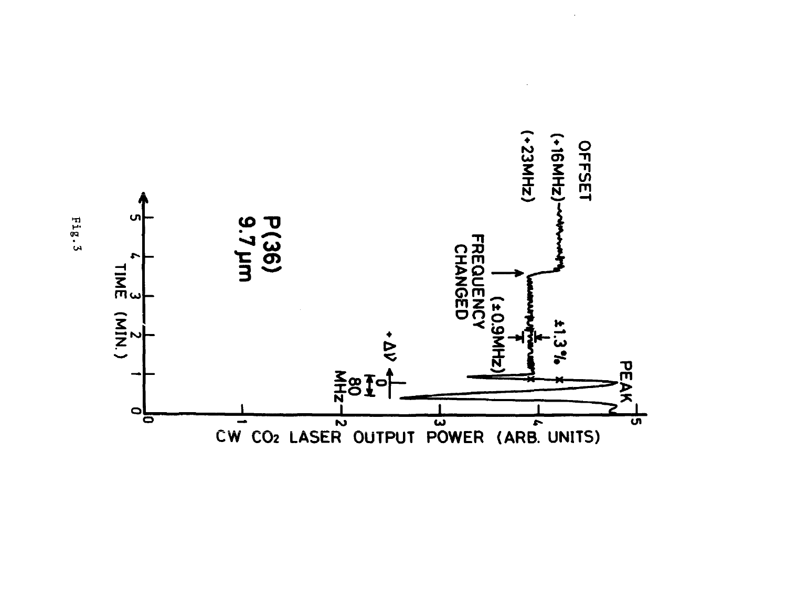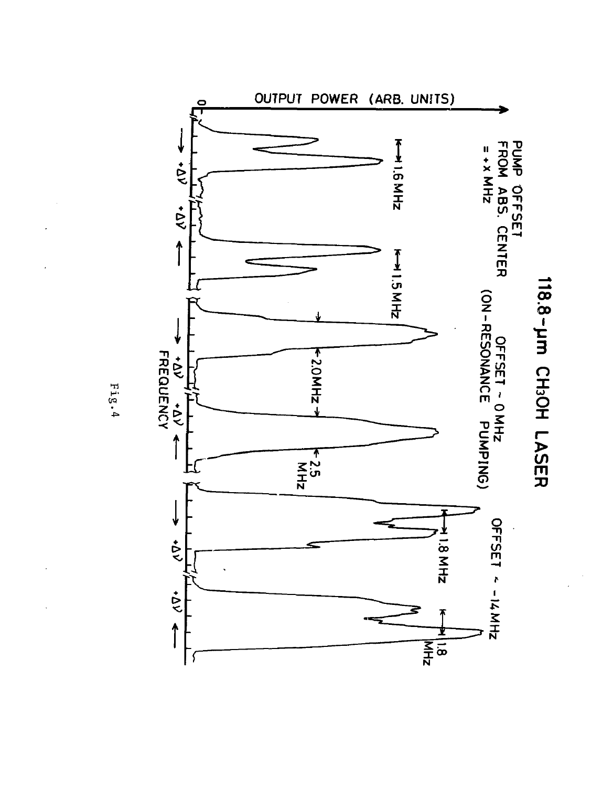

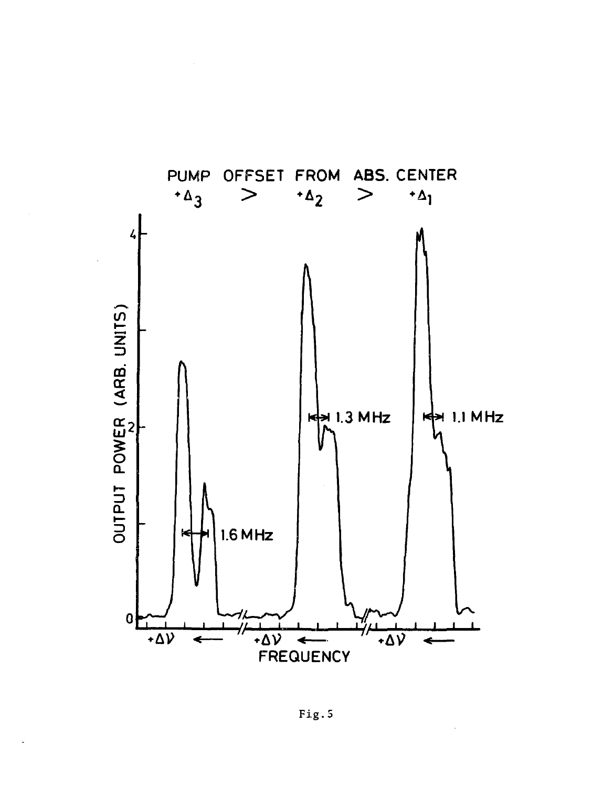

Fig.5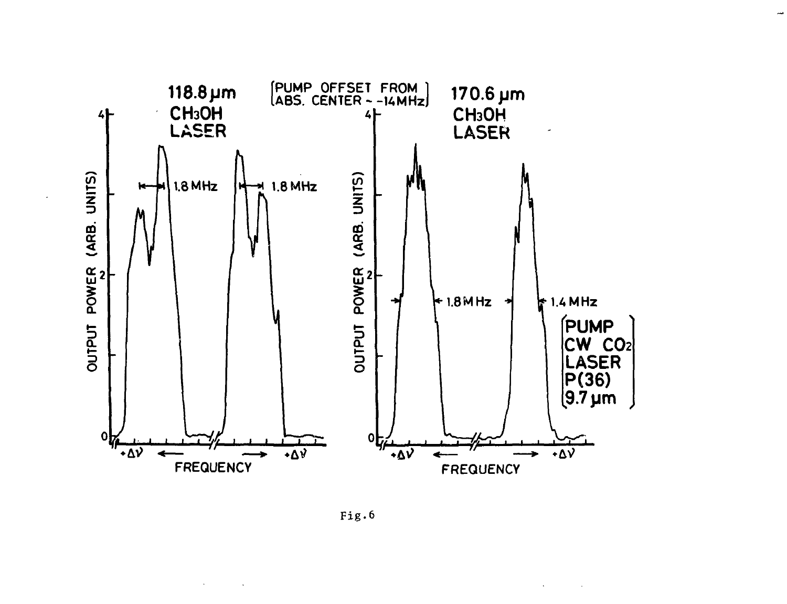



 $\lambda$ 

 $\overline{\phantom{a}}$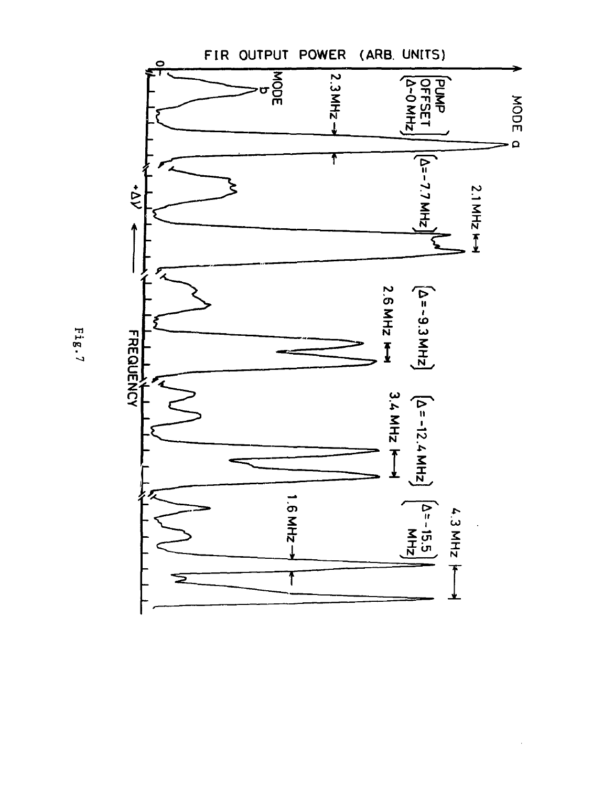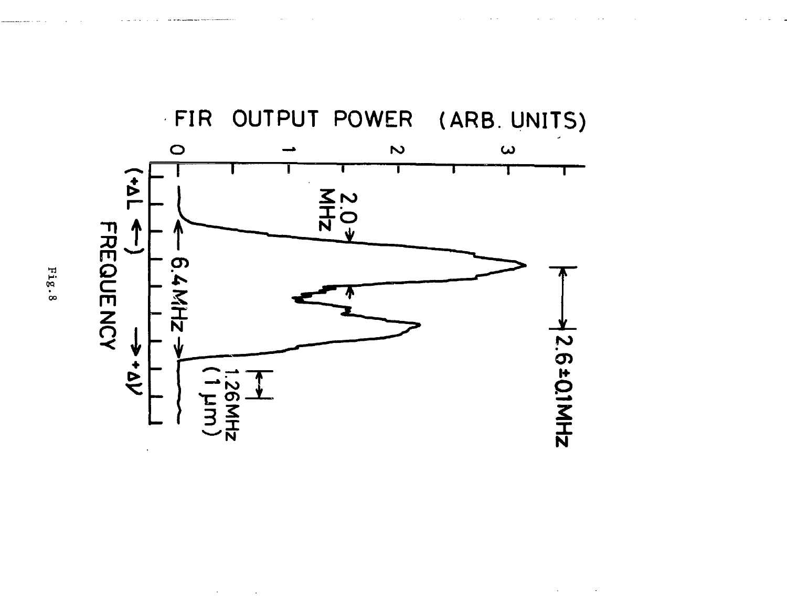

 $\mathcal{A}^{\text{max}}$  and  $\mathcal{A}^{\text{max}}$ 

 $\sim$   $\sim$ 

 $\cdot$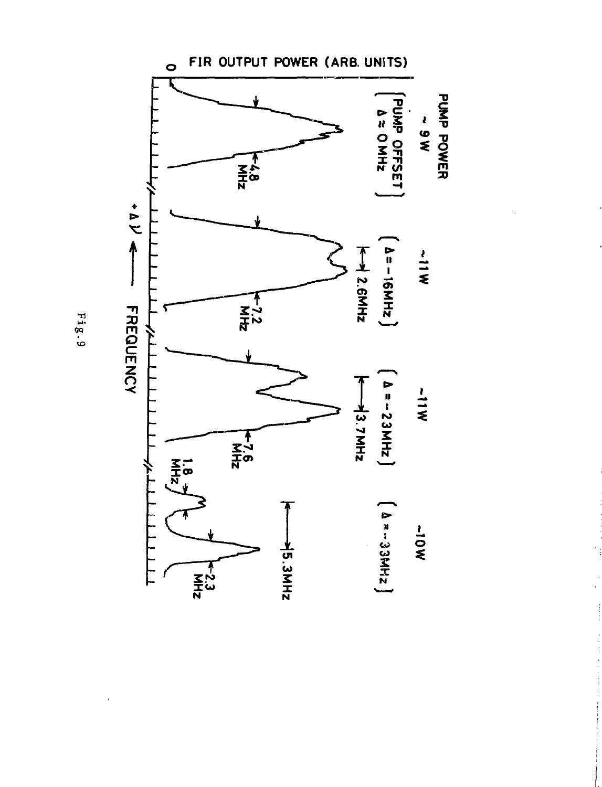

医骨骨骨骨 医心脏 医血管下的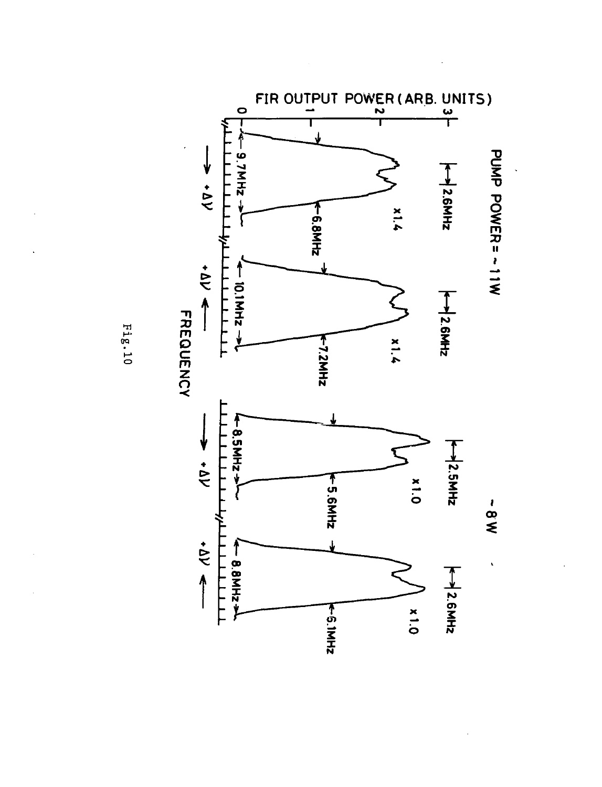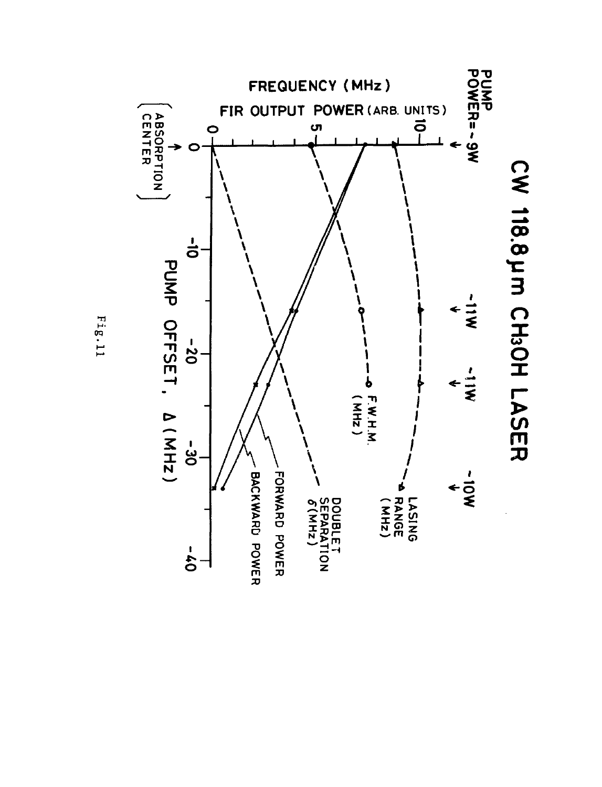

Fig.11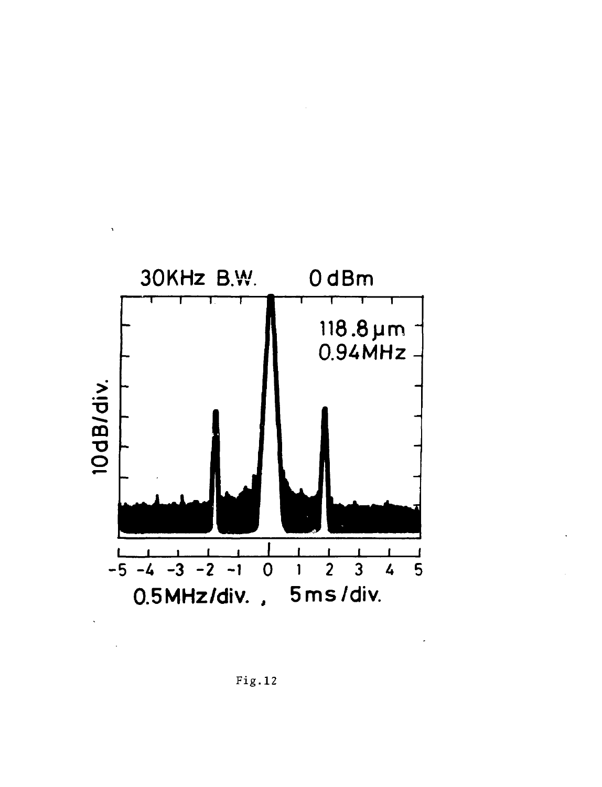

Fig.12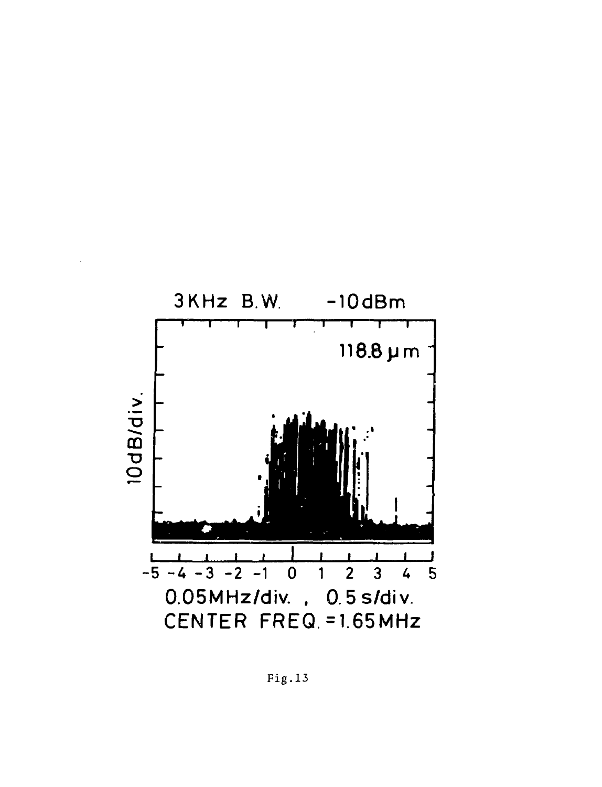

 $Fig.13$